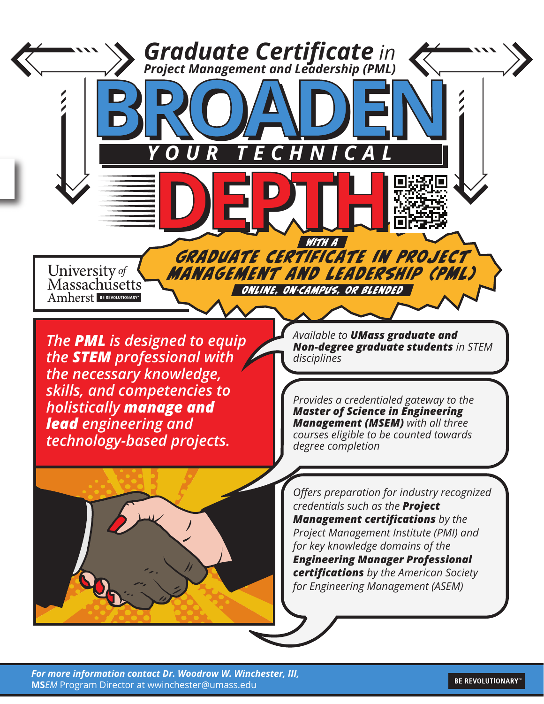

*For more information contact Dr. Woodrow W. Winchester, III,* **MS***EM* Program Director at wwinchester@umass.edu